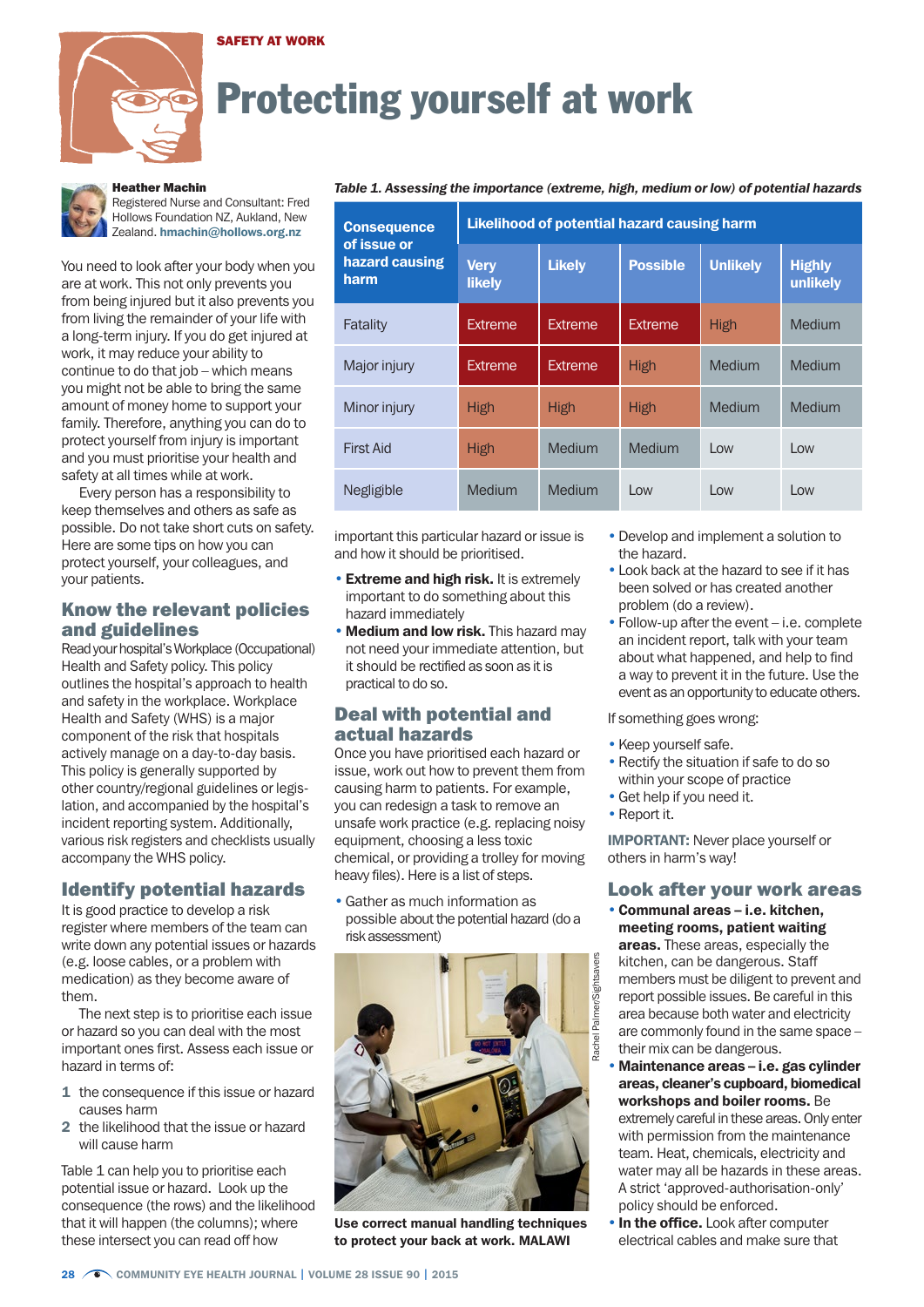#### SAFETY AT WORK



# Protecting yourself at work



## Heather Machin

Registered Nurse and Consultant: Fred Hollows Foundation NZ, Aukland, New Zealand. hmachin@hollows.org.nz

You need to look after your body when you are at work. This not only prevents you from being injured but it also prevents you from living the remainder of your life with a long-term injury. If you do get injured at work, it may reduce your ability to continue to do that job – which means you might not be able to bring the same amount of money home to support your family. Therefore, anything you can do to protect yourself from injury is important and you must prioritise your health and safety at all times while at work.

Every person has a responsibility to keep themselves and others as safe as possible. Do not take short cuts on safety. Here are some tips on how you can protect yourself, your colleagues, and your patients.

## Know the relevant policies and guidelines

Read your hospital's Workplace (Occupational) Health and Safety policy. This policy outlines the hospital's approach to health and safety in the workplace. Workplace Health and Safety (WHS) is a major component of the risk that hospitals actively manage on a day-to-day basis. This policy is generally supported by other country/regional guidelines or legislation, and accompanied by the hospital's incident reporting system. Additionally, various risk registers and checklists usually accompany the WHS policy.

#### Identify potential hazards

It is good practice to develop a risk register where members of the team can write down any potential issues or hazards (e.g. loose cables, or a problem with medication) as they become aware of them.

The next step is to prioritise each issue or hazard so you can deal with the most important ones first. Assess each issue or hazard in terms of:

- 1 the consequence if this issue or hazard causes harm
- 2 the likelihood that the issue or hazard will cause harm

Table 1 can help you to prioritise each potential issue or hazard. Look up the consequence (the rows) and the likelihood that it will happen (the columns); where these intersect you can read off how

#### *Table 1. Assessing the importance (extreme, high, medium or low) of potential hazards*

| <b>Consequence</b><br>of issue or<br>hazard causing<br>harm | <b>Likelihood of potential hazard causing harm</b> |                |                 |                 |                           |
|-------------------------------------------------------------|----------------------------------------------------|----------------|-----------------|-----------------|---------------------------|
|                                                             | <b>Very</b><br><b>likely</b>                       | <b>Likely</b>  | <b>Possible</b> | <b>Unlikely</b> | <b>Highly</b><br>unlikely |
| Fatality                                                    | Extreme                                            | <b>Extreme</b> | Extreme         | <b>High</b>     | Medium                    |
| Major injury                                                | Extreme                                            | Extreme        | High            | Medium          | Medium                    |
| Minor injury                                                | <b>High</b>                                        | <b>High</b>    | High            | Medium          | Medium                    |
| <b>First Aid</b>                                            | <b>High</b>                                        | Medium         | Medium          | $1$ OW          | l ow                      |
| Negligible                                                  | Medium                                             | Medium         | $\log$          | $\log$          | l ow                      |

important this particular hazard or issue is and how it should be prioritised.

- Extreme and high risk. It is extremely important to do something about this hazard immediately
- Medium and low risk. This hazard may not need your immediate attention, but it should be rectified as soon as it is practical to do so.

## Deal with potential and actual hazards

Once you have prioritised each hazard or issue, work out how to prevent them from causing harm to patients. For example, you can redesign a task to remove an unsafe work practice (e.g. replacing noisy equipment, choosing a less toxic chemical, or providing a trolley for moving heavy files). Here is a list of steps.

•Gather as much information as possible about the potential hazard (do a risk assessment)



Use correct manual handling techniques to protect your back at work. MALAWI

- •Develop and implement a solution to the hazard.
- Look back at the hazard to see if it has been solved or has created another problem (do a review).
- Follow-up after the event i.e. complete an incident report, talk with your team about what happened, and help to find a way to prevent it in the future. Use the event as an opportunity to educate others.

If something goes wrong:

- Keep yourself safe.
- Rectify the situation if safe to do so within your scope of practice
- •Get help if you need it.
- Report it.

IMPORTANT: Never place yourself or others in harm's way!

#### Look after your work areas

- Communal areas i.e. kitchen, meeting rooms, patient waiting areas. These areas, especially the kitchen, can be dangerous. Staff members must be diligent to prevent and report possible issues. Be careful in this area because both water and electricity are commonly found in the same space – their mix can be dangerous.
- Maintenance areas i.e. gas cylinder areas, cleaner's cupboard, biomedical workshops and boiler rooms. Be extremely careful in these areas. Only enter with permission from the maintenance team. Heat, chemicals, electricity and water may all be hazards in these areas. A strict 'approved-authorisation-only' policy should be enforced.
- **In the office.** Look after computer electrical cables and make sure that